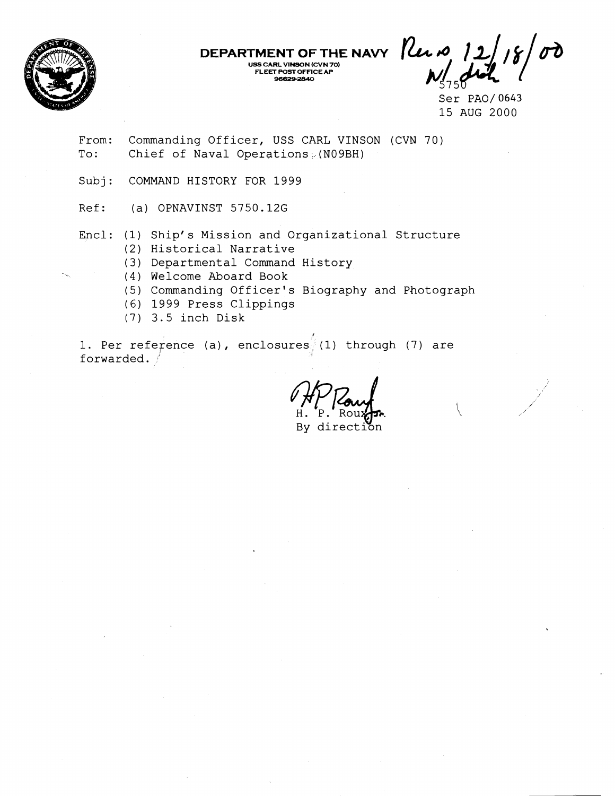

**DEPARTMENT OF THE NAVY USS CARL VINSON (CVN 70) FLEET POST OFFICEAP EET POST OFFICE AP**<br>96629-2840

Ser PA0/ 0643 15 AUG 2000

From: Commanding Officer, USS CARL VINSON (CVN 70) To: Chief of Naval Operations (N09BH)

Subj: COMMAND HISTORY FOR 1999

Ref: (a) OPNAVINST 5750.12G

Encl: (1) Ship's Mission and Organizational Structure (2) Historical Narrative

(3) Departmental Command History

(4) Welcome Aboard Book

- (5) Commanding Officer's Biography and Photograph
- (6) 1999 Press Clippings
- (7) 3.5 inch Disk

1. Per reference (a), enclosures (1) through (7) are<br>forwarded.<br>  $M_{\rm H.~P.~Rougen.}_{\rm Hy~direction}$ forwarded.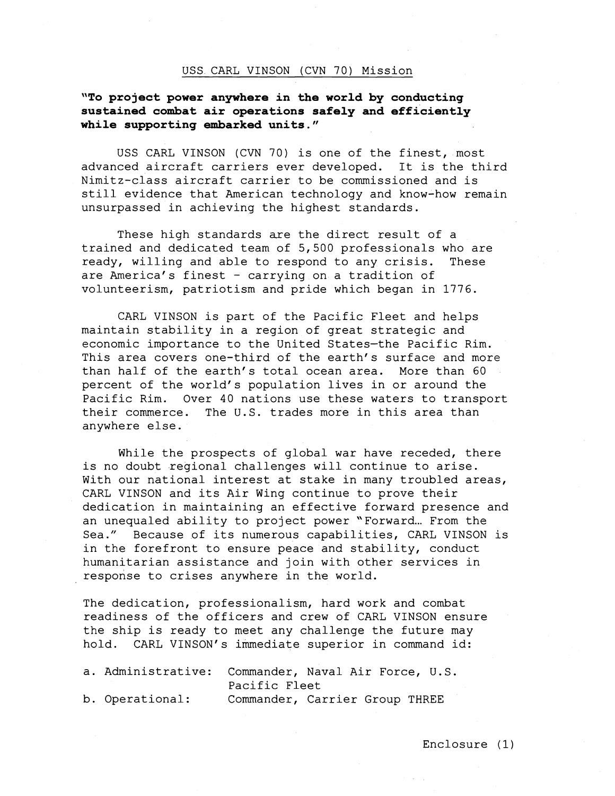## USS CARL VINSON (CVN 70) Mission

# **"To project power anywhere in the world by conducting sustained combat air operations safely and efficiently while supporting embarked units."**

USS CARL VINSON (CVN 70) is one of the finest, most advanced aircraft carriers ever developed. It is the third Nimitz-class aircraft carrier to be commissioned and is still evidence that American technology and know-how remain unsurpassed in achieving the highest standards.

These high standards are the direct result of a trained and dedicated team of 5,500 professionals who are ready, willing and able to respond to any crisis. These are America's finest - carrying on a tradition of volunteerism, patriotism and pride which began in 1776.

CARL VINSON is part of the Pacific Fleet and helps maintain stability in a region of great strategic and economic importance to the United States-the Pacific Rim. This area covers one-third of the earth's surface and more than half of the earth's total ocean area. More than 60 percent of the world's population lives in or around the Pacific Rim. Over 40 nations use these waters to transport their commerce. The U.S. trades more in this area than anywhere else.

While the prospects of global war have receded, there is no doubt regional challenges will continue to arise. With our national interest at stake in many troubled areas, CARL VINSON and its Air Wing continue to prove their dedication in maintaining an effective forward presence and an unequaled ability to project power "Forward... From the Sea." Because of its numerous capabilities, CARL VINSON is in the forefront to ensure peace and stability, conduct humanitarian assistance and join with other services in response to crises anywhere in the world.

The dedication, professionalism, hard work and combat readiness of the officers and crew of CARL VINSON ensure the ship is ready to meet any challenge the future may hold. CARL VINSON's immediate superior in command id:

| a. Administrative: Commander, Naval Air Force, U.S. |                                |  |  |  |  |
|-----------------------------------------------------|--------------------------------|--|--|--|--|
|                                                     | Pacific Fleet                  |  |  |  |  |
| b. Operational:                                     | Commander, Carrier Group THREE |  |  |  |  |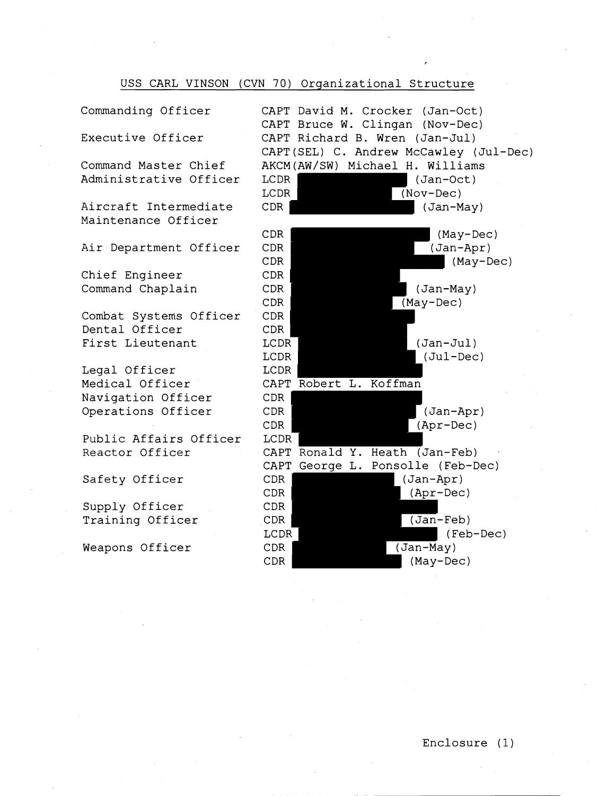## USS CARL VINSON (CVN 70) Organizational Structure

Commanding Officer

Executive Officer

Command Master Chief Administrative Officer

Aircraft Intermediate Maintenance Officer

Air Department Officer

Chief Engineer Command Chaplain

Combat Systems Officer Dental Officer First Lieutenant

Legal Officer Medical Officer Navigation Officer Operations Officer

Public Affairs Officer Reactor Officer

Safety Officer

Supply Officer Training Officer

Weapons Officer

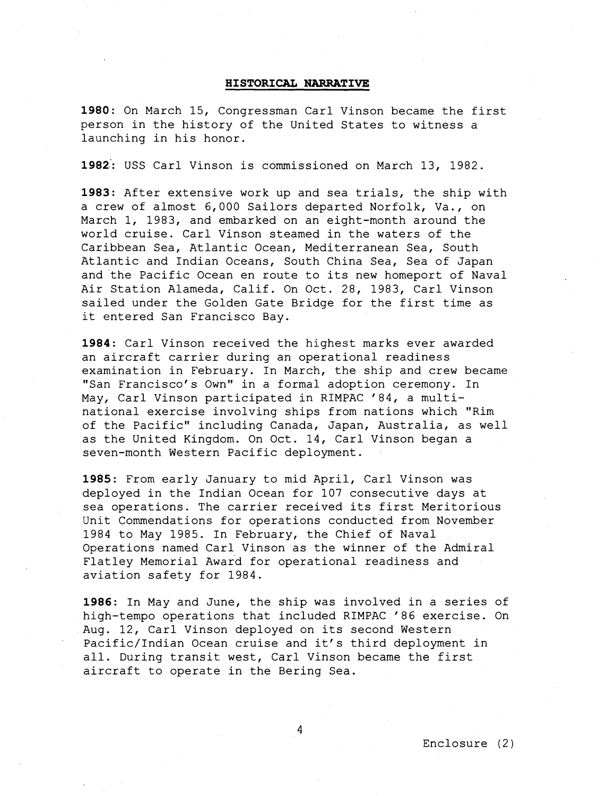## **HISTORICAL NARRATIVE**

**1980:** On March 15, Congressman Carl Vinson became the first person in the history of the United States to witness a launching in his honor.

**1982::** USS Carl Vinson is commissioned on March 13, 1982.

**1983:** After extensive work up and sea trials, the ship with a crew of almost 6,000 Sailors departed Norfolk, Va., on March 1, 1983, and embarked on an eight-month around the world cruise. Carl Vinson steamed in the waters of the Caribbean Sea, Atlantic Ocean, Mediterranean Sea, South Atlantic and Indian Oceans, South China Sea, Sea of Japan and the Pacific Ocean en route to its new homeport of Naval Air Station Alameda, Calif. On Oct. 28, 1983, Carl Vinson sailed under the Golden Gate Bridge for the first time as it entered San Francisco Bay.

**1984:** Carl Vinson received the highest marks ever awarded an aircraft carrier during an operational readiness examination in February. In March, the ship and crew became "San Francisco's Own" in a formal adoption ceremony. In May, Carl Vinson participated in RIMPAC '84, a multinational exercise involving ships from nations which "Rim of the Pacific" including Canada, Japan, Australia, as well as the United Kingdom. On Oct. 14, Carl Vinson began a seven-month Western Pacific deployment.

**1985:** From early January to mid April, Carl Vinson was deployed in the Indian Ocean for 107 consecutive days at sea operations. The carrier received its first Meritorious Unit Commendations for operations conducted from November 1984 to May 1985. In February, the Chief of Naval Operations named Carl Vinson as the winner of the Admiral Flatley Memorial Award for operational readiness and aviation safety for 1984.

**1986:** In May and June, the ship was involved in a series of high-tempo operations that included RIMPAC '86 exercise. On Aug. 12, Carl Vinson deployed on its second Western Pacific/Indian Ocean cruise and it's third deployment in all. During transit west, Carl Vinson became the first aircraft to operate in the Bering Sea.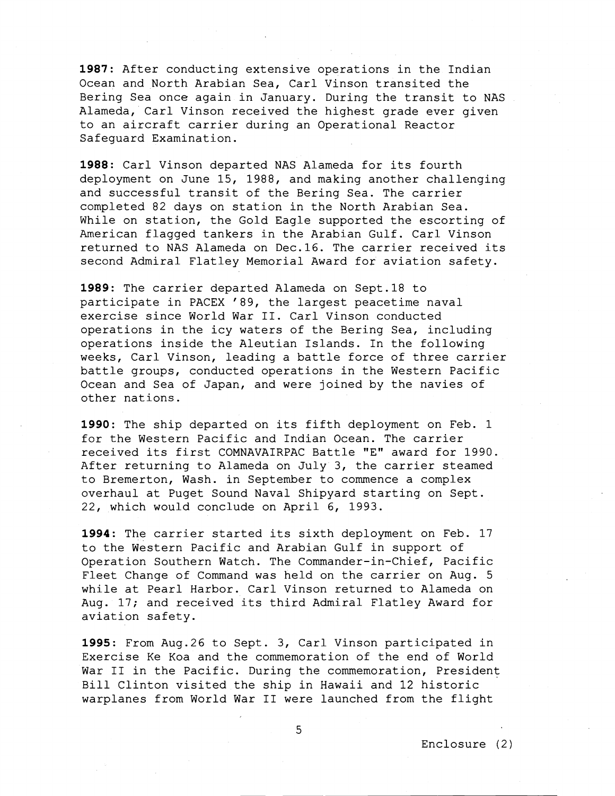**1987:** After conducting extensive operations in the Indian Ocean and North Arabian Sea, Carl Vinson transited the Bering Sea once again in January. During the transit to NAS Alameda, Carl Vinson received the highest grade ever given to an aircraft carrier during an Operational Reactor Safeguard Examination.

**1988:** Carl Vinson departed NAS Alameda for its fourth deployment on June 15, 1988, and making another challenging and successful transit of the Bering Sea. The carrier completed 82 days on station in the North Arabian Sea. While on station, the Gold Eagle supported the escorting of American flagged tankers in the Arabian Gulf. Carl Vinson returned to NAS Alameda on Dec.16. The carrier received its second Admiral Flatley Memorial Award for aviation safety.

**1989:** The carrier departed Alameda on Sept.18 to participate in PACEX '89, the largest peacetime naval exercise since World War 11. Carl Vinson conducted operations in the icy waters of the Bering Sea, including operations inside the Aleutian Islands. In the following weeks, Carl Vinson, leading a battle force of three carrier battle groups, conducted operations in the Western Pacific Ocean and Sea of Japan, and were joined by the navies of other nations.

**1990:** The ship departed on its fifth deployment on Feb. 1 for the Western Pacific and Indian Ocean. The carrier received its first COMNAVAIRPAC Battle "E" award for 1990. After returning to Alameda on July 3, the carrier steamed to Bremerton, Wash. in September to commence a complex overhaul at Puget Sound Naval Shipyard starting on Sept. 22, which would conclude on April 6, 1993.

**1994:** The carrier started its sixth deployment on Feb. 17 to the Western Pacific and Arabian Gulf in support of Operation Southern Watch. The Commander-in-Chief, Pacific Fleet Change of Command was held on the carrier on Aug. 5 while at Pearl Harbor. Carl Vinson returned to Alameda on Aug. 17; and received its third Admiral Flatley Award for aviation safety.

**1995:** From Aug.26 to Sept. 3, Carl Vinson participated in Exercise Ke Koa and the commemoration of the end of World War II in the Pacific. During the commemoration, President Bill Clinton visited the ship in Hawaii and 12 historic warplanes from World War I1 were launched from the flight

**t,**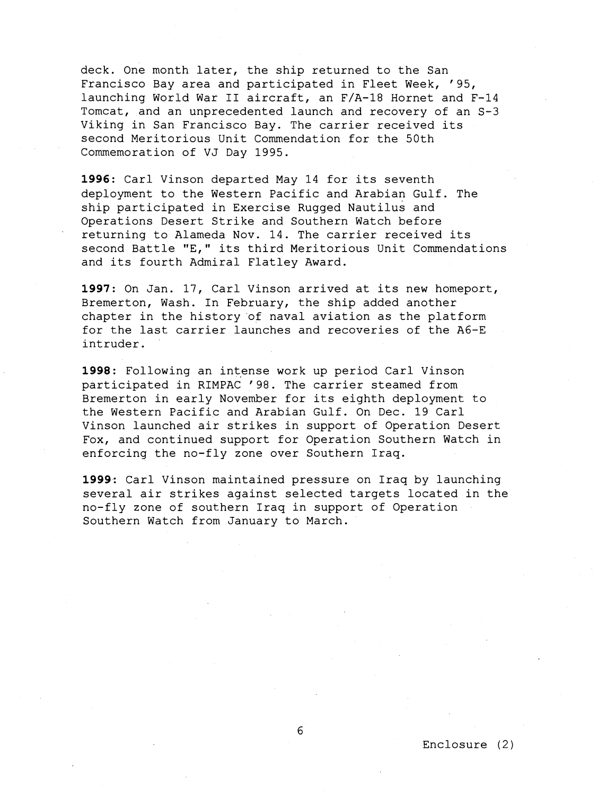deck. One month later, the ship returned to the San Francisco Bay area and participated in Fleet Week, '95, launching World War I1 aircraft, an F/A-18 Hornet and F-14 Tomcat, and an unprecedented launch and recovery of an S-3 Viking in San Francisco Bay. The carrier received its second Meritorious Unit Commendation for the 50th Commemoration of VJ Day 1995.

**1996:** Carl Vinson departed May 14 for its seventh deployment to the Western Pacific and Arabian Gulf. The ship participated in Exercise Rugged Nautilus and Operations Desert Strike and Southern Watch before returning to Alameda Nov. 14. The carrier received its second Battle "E," its third Meritorious Unit Commendations and its fourth Admiral Flatley Award.

**1997:** On Jan. 17, Carl Vinson arrived at its new homeport, Bremerton, Wash. In February, the ship added another chapter in the history of naval aviation as the platform for the last carrier launches and recoveries of the A6-E intruder.

**1998:** Following an intense work up period Carl Vinson participated in RIMPAC '98. The carrier steamed from Bremerton in early November for its eighth deployment to the Western Pacific and Arabian Gulf. On Dec. 19 Carl Vinson launched air strikes in support of Operation Desert Fox, and continued support for Operation Southern Watch in enforcing the no-fly zone over Southern Iraq.

**1999:** Carl Vinson maintained pressure on Iraq by launching several air strikes against selected targets located in the no-fly zone of southern Iraq in support of Operation Southern Watch from January to March.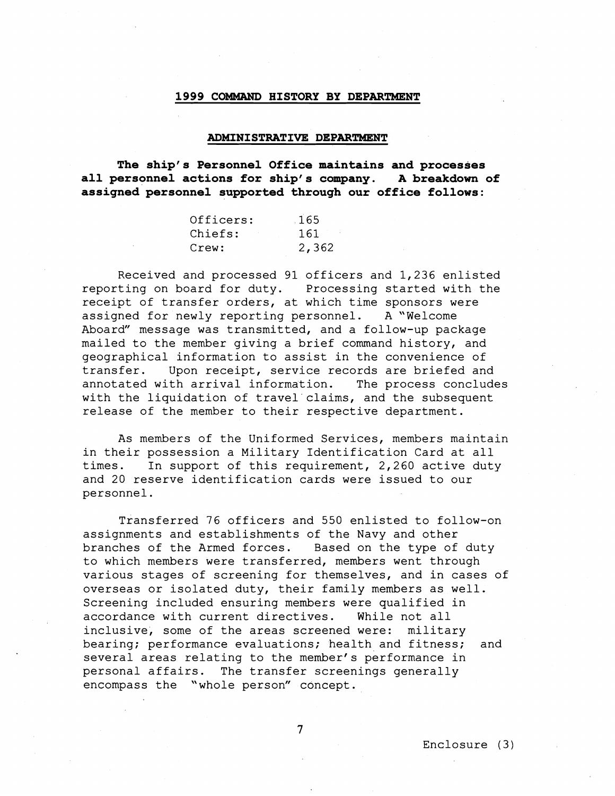## 1999 COMMAND HISTORY BY DEPARTMENT

#### ADMINISTRATIVE DEPARTMENT

The ship's Personnel Office maintains and processes all personnel actions for ship's company. **A** breakdown of assigned personnel supported through our office follows:

| Officers: | 165   |
|-----------|-------|
| Chiefs:   | 161   |
| Crew:     | 2,362 |

Received and processed 91 officers and 1,236 enlisted reporting on board for duty. Processing started with the receipt of transfer orders, at which time sponsors were assigned for newly reporting personnel. A "Welcome Aboard" message was transmitted, and a follow-up package mailed to the member giving a brief command history, and geographical information to assist in the convenience of transfer. Upon receipt, service records are briefed and annotated with arrival information. The process concludes with the liquidation of travel claims, and the subsequent release of the member to their respective department.

As members of the Uniformed Services, members maintain in their possession a Military Identification Card at all times. In support of this requirement, 2,260 active duty and 20 reserve identification cards were issued to our personnel.

Transferred 76 officers and 550 enlisted to follow-on assignments and establishments of the Navy and other branches of the Armed forces. Based on the type of duty to which members were transferred, members went through various stages of screening for themselves, and in cases of overseas or isolated duty, their family members as well. Screening included ensuring members were qualified in accordance with current directives. While not all inclusive, some of the areas screened were: military bearing; performance evaluations; health and fitness; and several areas relating to the member's performance in personal affairs. The transfer screenings generally encompass the "whole person" concept.

 $\overline{7}$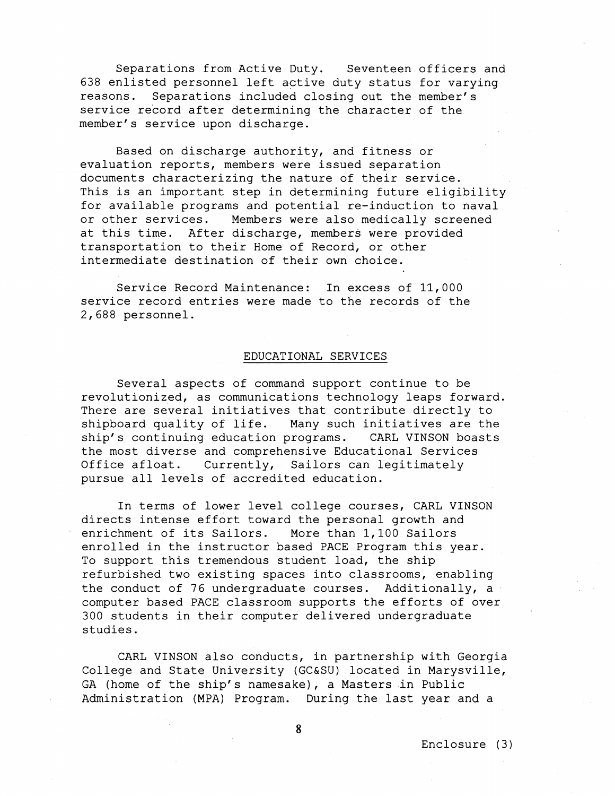Separations from Active Duty. Seventeen officers and 638 enlisted personnel left active duty status for varying reasons. Separations included closing out the member's service record after determining the character of the member's service upon discharge.

Based on discharge authority, and fitness or evaluation reports, members were issued separation documents characterizing the nature of their service. This is an important step in determining future eligibility for available programs and potential re-induction to naval or other services. Members were also medically screened at this time. After discharge, members were provided transportation to their Home of Record, or other intermediate destination of their own choice.

Service Record Maintenance: In excess of 11,000 service record entries were made to the records of the 2,688 personnel.

### EDUCATIONAL SERVICES

Several aspects of command support continue to be revolutionized, as communications technology leaps forward. There are several initiatives that contribute directly to shipboard quality of life. Many such initiatives are the ship's continuing education programs. CARL VINSON boasts the most diverse and comprehensive Educational Services Office afloat. Currently, Sailors can legitimately pursue all levels of accredited education.

In terms of lower level college courses, CARL VINSON directs intense effort toward the personal growth and enrichment of its Sailors. More than 1,100 Sailors enrolled in the instructor based PACE Program this year. To support this tremendous student load, the ship refurbished two existing spaces into classrooms, enabling the conduct of 76 undergraduate courses. Additionally, a computer based PACE classroom supports the efforts of over 300 students in their computer delivered undergraduate studies.

CARL VINSON also conducts, in partnership with Georgia College and State University (GC&SU) located in Marysville, GA (home of the ship's namesake), a Masters in Public Administration (MPA) Program. During the last year and a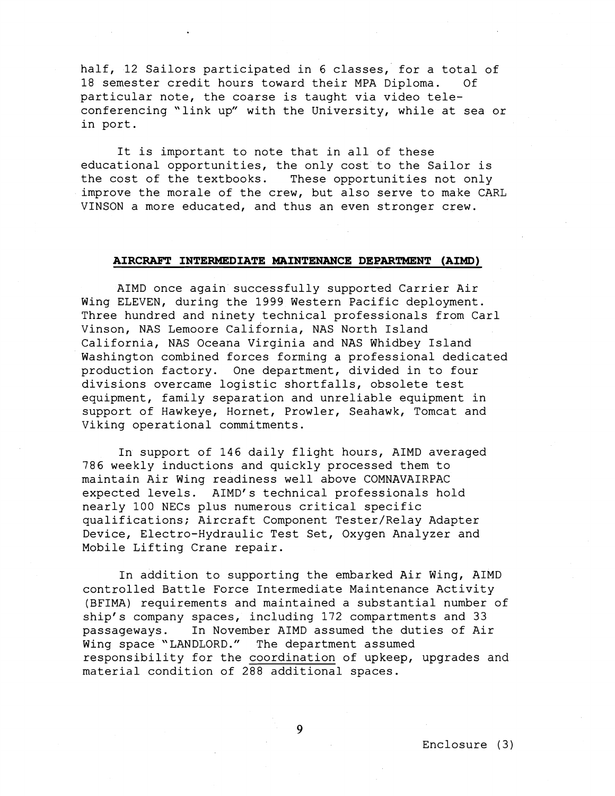half, 12 Sailors participated in 6 classes, for a total of 18 semester credit hours toward their MPA Diploma. Of particular note, the coarse is taught via video teleconferencing "link up" with the University, while at sea or in port.

It is important to note that in all of these educational opportunities, the only cost to the Sailor is the cost of the textbooks. These opportunities not only improve the morale of the crew, but also serve to make CARL VINSON a more educated, and thus an even stronger crew.

#### **AIRCRAFT INTERMEDIATE MAINTENANCE DEPARTMENT (AIMD)**

AIMD once again successfully supported Carrier Air Wing ELEVEN, during the 1999 Western Pacific deployment. Three hundred and ninety technical professionals from Carl Vinson, NAS Lemoore California, NAS North Island California, NAS Oceana Virginia and NAS Whidbey Island Washington combined forces forming a professional dedicated production factory. One department, divided in to four divisions overcame logistic shortfalls, obsolete test equipment, family separation and unreliable equipment in support of Hawkeye, Hornet, Prowler, Seahawk, Tomcat and Viking operational commitments.

In support of 146 daily flight hours, AIMD averaged 786 weekly inductions and quickly processed them to maintain Air Wing readiness well above COMNAVAIRPAC expected levels. AIMD's technical professionals hold nearly 100 NECs plus numerous critical specific qualifications; Aircraft Component Tester/Relay Adapter Device, Electro-Hydraulic Test Set, Oxygen Analyzer and Mobile Lifting Crane repair.

In addition to supporting the embarked Air Wing, AIMD controlled Battle Force Intermediate Maintenance Activity (BFIMA) requirements and maintained a substantial number of ship's company spaces, including 172 compartments and 33 passageways. In November AIMD assumed the duties of Air Wing space "LANDLORD." The department assumed responsibility for the coordination of upkeep, upgrades and material condition of 288 additional spaces.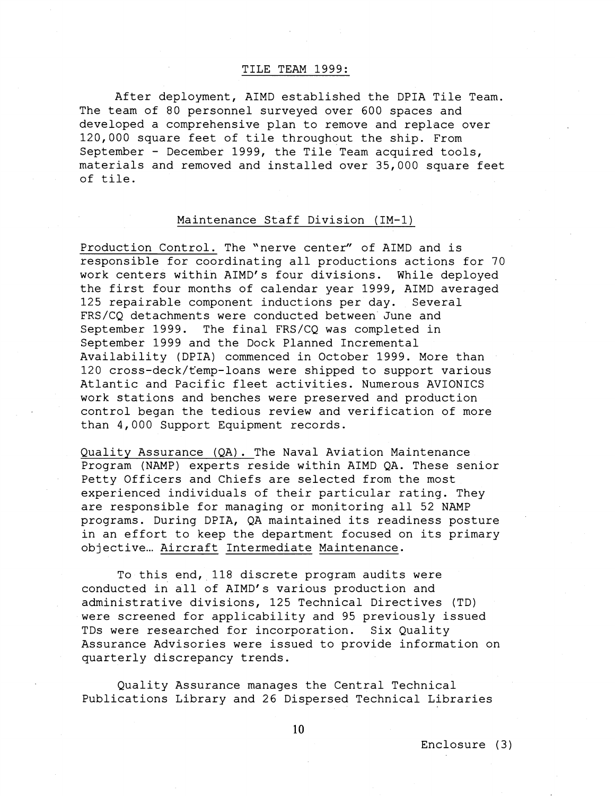### TILE TEAM 1999:

After deployment, AIMD established the DPIA Tile Team. The team of 80 personnel surveyed over 600 spaces and developed a comprehensive plan to remove and replace over 120,000 square feet of tile throughout the ship. From September - December 1999, the Tile Team acquired tools, materials and removed and installed over 35,000 square feet of tile.

## Maintenance Staff Division (IM-1)

Production Control. The 'nerve center" of AIMD and is responsible for coordinating all productions actions for 70 work centers within AIMD's four divisions. While deployed the first four months of calendar year 1999, AIMD averaged 125 repairable component inductions per day. Several FRS/CQ detachments were conducted between June and September 1999. The final FRS/CQ was completed in September 1999 and the Dock Planned Incremental Availability (DPIA) commenced in October 1999. More than 120 cross-deck/femp-loans were shipped to support various Atlantic and Pacific fleet activities. Numerous AVIONICS work stations and benches were preserved and production control began the tedious review and verification of more than 4,000 Support Equipment records.

Quality Assurance (QA). The Naval Aviation Maintenance Program (NAMP) experts reside within AIMD QA. These senior Petty Officers and Chiefs are selected from the most experienced individuals of their particular rating. They are responsible for managing or monitoring all 52 NAMP programs. During DPIA, QA maintained its readiness posture in an effort to keep the department focused on its primary objective... Aircraft Intermediate Maintenance.

To this end, 118 discrete program audits were conducted in all of AIMD's various production and administrative divisions, 125 Technical Directives (TD) were screened for applicability and 95 previously issued TDs were researched for incorporation. Six Quality Assurance Advisories were issued to provide information on quarterly discrepancy trends.

Quality Assurance manages the Central Technical Publications Library and 26 Dispersed Technical Libraries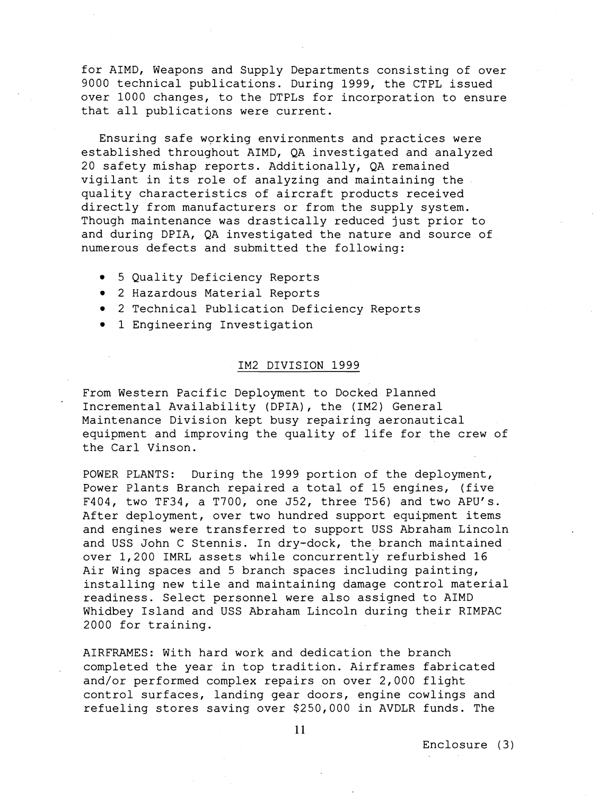for AIMD, Weapons and Supply Departments consisting of over 9000 technical publications. During 1999, the CTPL issued over 1000 changes, to the DTPLs for incorporation to ensure that all publications were current.

Ensuring safe working environments and practices were established throughout AIMD, QA investigated and analyzed 20 safety mishap reports. Additionally, QA remained vigilant in its role of analyzing and maintaining the quality characteristics of aircraft products received directly from manufacturers or from the supply system. Though maintenance was drastically reduced just prior to and during DPIA, QA investigated the nature and source of numerous defects and submitted the following:

- 5 Quality Deficiency Reports
- 2 Hazardous Material Reports
- 2 Technical Publication Deficiency Reports
- 1 Engineering Investigation

#### IM2 DIVISION 1999

From Western Pacific Deployment to Docked Planned Incremental Availability (DPIA), the (IM2) General Maintenance Division kept busy repairing aeronautical equipment and improving the quality of life for the crew of the Carl Vinson.

POWER PLANTS: During the 1999 portion of the deployment, Power Plants Branch repaired a total of 15 engines, (five F404, two TF34, a T700, one J52, three T56) and two APU's. After deployment, over two hundred support equipment items and engines were transferred to support USS Abraham Lincoln and USS John C Stennis. In dry-dock, the branch maintained over 1,200 IMRL assets while concurrently refurbished 16 Air Wing spaces and 5 branch spaces including painting, installing new tile and maintaining damage control material readiness. Select personnel were also assigned to AIMD Whidbey Island and USS Abraham Lincoln during their RIMPAC 2000 for training.

AIRFRAMES: With hard work and dedication the branch completed the year in top tradition. Airframes fabricated and/or performed complex repairs on over 2,000 flight control surfaces, landing gear doors, engine cowlings and refueling stores saving over \$259,000 in AVDLR funds. The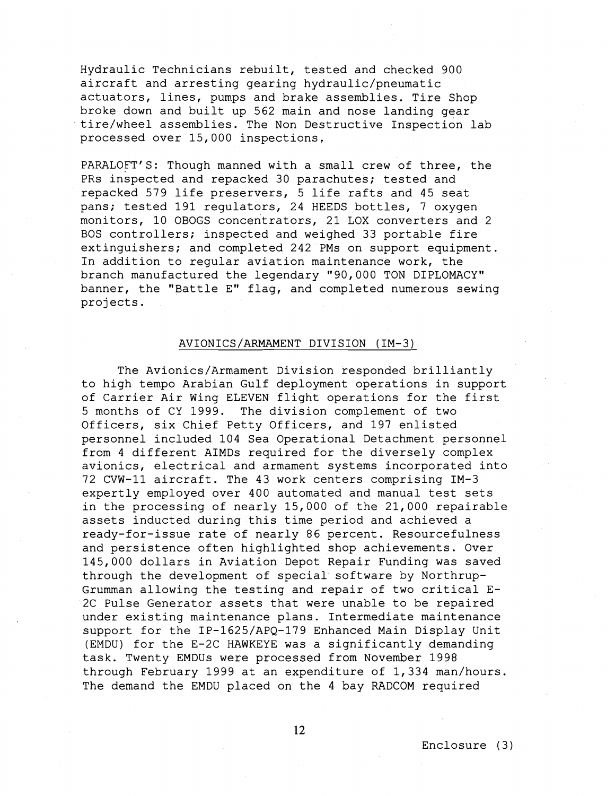Hydraulic Technicians rebuilt, tested and checked 900 aircraft and arresting gearing hydraulic/pneumatic actuators, lines, pumps and brake assemblies. Tire Shop broke down and built up 562 main and nose landing gear tire/wheel assemblies. The Non Destructive Inspection lab processed over 15,000 inspections.

PARALOFT'S: Though manned with a small crew of three, the PRs inspected and repacked 30 parachutes; tested and repacked 579 life preservers, 5 life rafts and 45 seat pans; tested 191 regulators, 24 HEEDS bottles, 7 oxygen monitors, 10 OBOGS concentrators, 21 LOX converters and 2 BOS controllers; inspected and weighed 33 portable fire extinguishers; and completed 242 PMs on support equipment. In addition to regular aviation maintenance work, the branch manufactured the legendary "90,000 TON DIPLOMACY" banner, the "Battle E" flag, and completed numerous sewing projects.

## AVIONICS/ARMAMENT DIVISION (IM-3)

The Avionics/Armament Division responded brilliantly to high tempo Arabian Gulf deployment operations in support of Carrier Air Wing ELEVEN flight operations for the first 5 months of CY 1999. The division complement of two Officers, six Chief Petty Officers, and 197 enlisted personnel included 104 Sea Operational Detachment personnel from 4 different AIMDs required for the diversely complex avionics, electrical and armament systems incorporated into 72 CVW-11 aircraft. The 43 work centers comprising IM-3 expertly employed over 400 automated and manual test sets in the processing of nearly 15,000 of the 21,000 repairable assets inducted during this time period and achieved a ready-for-issue rate of nearly 86 percent. Resourcefulness and persistence often highlighted shop achievements. Over 145,000 dollars in Aviation Depot Repair Funding was saved through the development of special software by Northrup-Grumman allowing the testing and repair of two critical E-2C Pulse Generator assets that were unable to be repaired under existing maintenance plans. Intermediate maintenance support for the IP-1625/APQ-179 Enhanced Main Display Unit (EMDU) for the E-2C HAWKEYE was a significantly demanding task. Twenty EMDUs were processed from November 1998 through February 1999 at an expenditure of 1,334 man/hours. The demand the EMDU placed on the 4 bay RADCOM required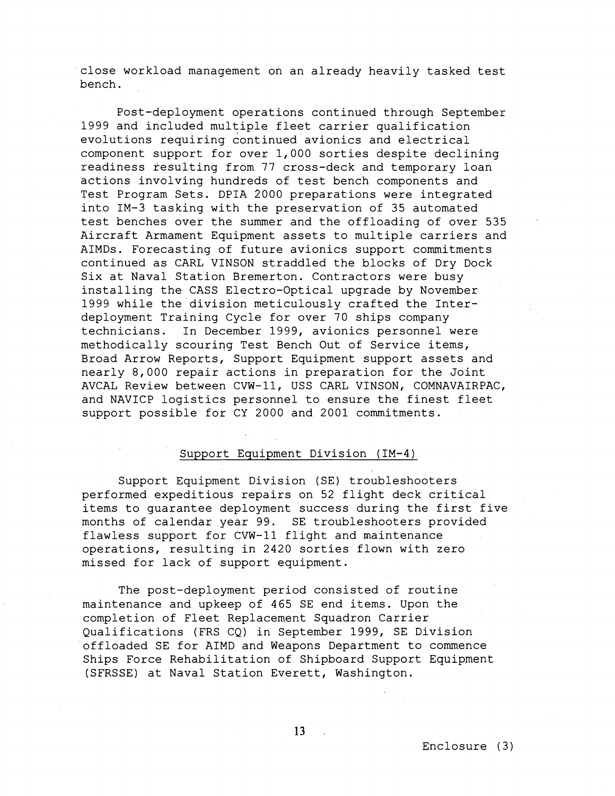close workload management on an already heavily tasked test bench.

Post-deployment operations continued through September 1999 and included multiple fleet carrier qualification evolutions requiring continued avionics and electrical component support for over 1,000 sorties despite declining readiness resulting from 77 cross-deck and temporary loan actions involving hundreds of test bench components and Test Program Sets. DPIA 2000 preparations were integrated into IM-3 tasking with the preservation of 35 automated test benches over the summer and the offloading of over 535 Aircraft Armament Equipment assets to multiple carriers and AIMDs. Forecasting of future avionics support commitments continued as CARL VINSON straddled the blocks of Dry Dock Six at Naval Station Bremerton. Contractors were busy installing the CASS Electro-Optical upgrade by November 1999 while the division meticulously crafted the Interdeployment Training Cycle for over 70 ships company technicians. In December 1999, avionics personnel were methodically scouring Test Bench Out of Service items, Broad Arrow Reports, Support Equipment support assets and nearly 8,000 repair actions in preparation for the Joint AVCAL Review between CVW-11, USS CARL VINSON, COMNAVAIRPAC, and NAVICP logistics personnel to ensure the finest fleet support possible for CY 2000 and 2001 commitments.

## Support Equipment Division (IM-4)

Support Equipment Division (SE) troubleshooters performed expeditious repairs on 52 flight deck critical items to guarantee deployment success during the first five months of calendar year 99. SE troubleshooters provided flawless support for CVW-11 flight and maintenance operations, resulting in 2420 sorties flown with zero missed for lack of support equipment.

The post-deployment period consisted of routine maintenance and upkeep of 465 SE end items. Upon the completion of Fleet Replacement Squadron Carrier Qualifications (FRS CQ) in September 1999, SE Division offloaded SE for AIMD and Weapons Department to commence Ships Force Rehabilitation of Shipboard Support Equipment (SFRSSE) at Naval Station Everett, Washington.

 $13$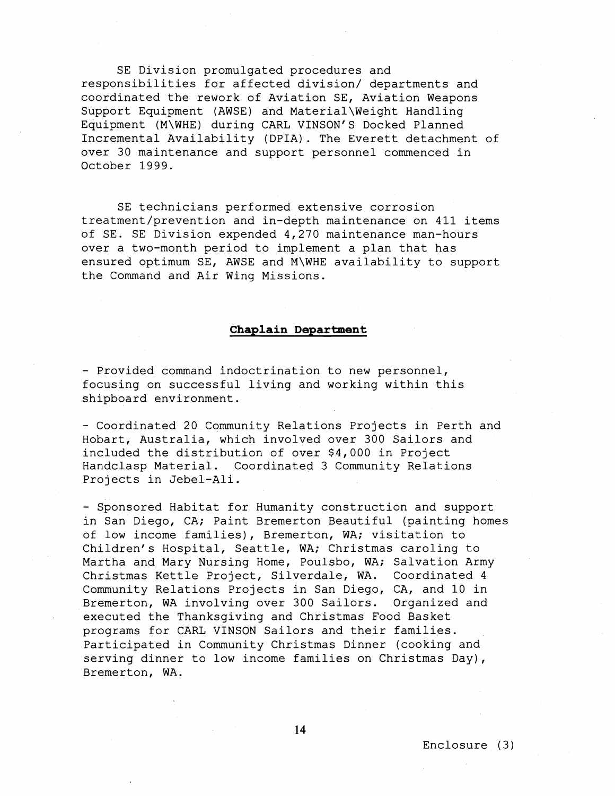SE Division promulgated procedures and responsibilities for affected division/ departments and coordinated the rework of Aviation SE, Aviation Weapons Support Equipment (AWSE) and Material\Weight Handling Equipment (M\WHE) during CARL VINSON'S Docked Planned Incremental Availability (DPIA). The Everett detachment of over 30 maintenance and support personnel commenced in October 1999.

SE technicians performed extensive corrosion treatment/prevention and in-depth maintenance on 411 items of SE. SE Division expended 4,270 maintenance man-hours over a two-month period to implement a plan that has ensured optimum SE, AWSE and M\WHE availability to support the Command and Air Wing Missions.

#### **Chaplain Department**

- Provided command indoctrination to new personnel, focusing on successful living and working within this shipboard environment.

- Coordinated 20 Community Relations Projects in Perth and Hobart, Australia, which involved over 300 Sailors and included the distribution of over \$4,000 in Project Handclasp Material. Coordinated 3 Community Relations Projects in Jebel-Ali.

- Sponsored Habitat for Humanity construction and support in San Diego, CA; Paint Bremerton Beautiful (painting homes of low income families), Bremerton, WA; visitation to Children's Hospital, Seattle, WA; Christmas caroling to Martha and Mary Nursing Home, Poulsbo, WA; Salvation Army Christmas Kettle Project, Silverdale, WA. Coordinated 4 Community Relations Projects in San Diego, CA, and 10 in Bremerton, WA involving over 300 Sailors. Organized and executed the Thanksgiving and Christmas Food Basket programs for CARL VINSON Sailors and their families. Participated in Community Christmas Dinner (cooking and serving dinner to low income families on Christmas Day), Bremerton, WA.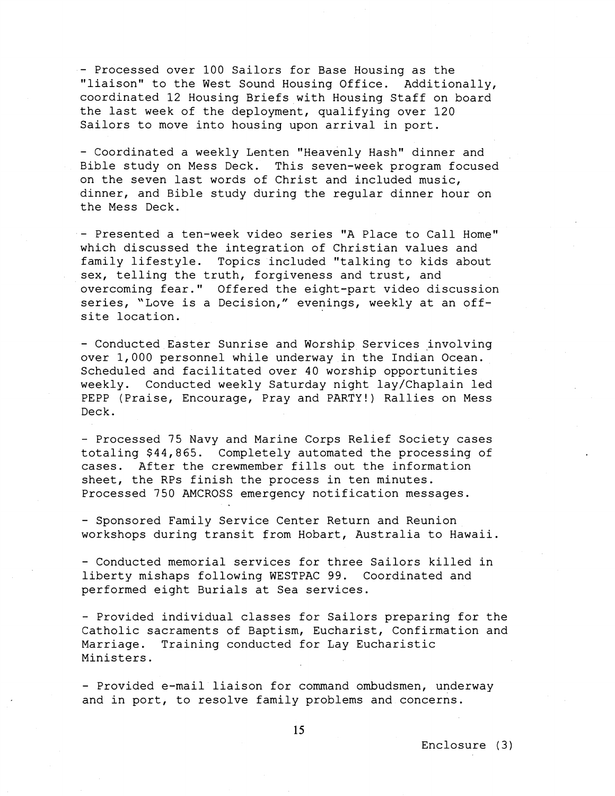- Processed over 100 Sailors for Base Housing as the "liaison" to the West Sound Housing Office. Additionally, coordinated 12 Housing Briefs with Housing Staff on board the last week of the deployment, qualifying over 120 Sailors to move into housing upon arrival in port.

- Coordinated a weekly Lenten "Heavenly Hash" dinner and Bible study on Mess Deck. This seven-week program focused on the seven last words of Christ and included music, dinner, and Bible study during the regular dinner hour on the Mess Deck.

- Presented a ten-week video series "A Place to Call Home" which discussed the integration of Christian values and family lifestyle. Topics included "talking to kids about sex, telling the truth, forgiveness and trust, and overcoming fear." Offered the eight-part video discussion series, "Love is a Decision," evenings, weekly at an offsite location.

- Conducted Easter Sunrise and Worship Services involving over 1,000 personnel while underway in the Indian Ocean. Scheduled and facilitated over 40 worship opportunities weekly. Conducted weekly Saturday night lay/Chaplain led PEPP (Praise, Encourage, Pray and PARTY!) Rallies on Mess Deck.

- Processed 75 Navy and Marine Corps Relief Society cases totaling \$44,865. Completely automated the processing of cases. After the crewmember fills out the information sheet, the RPs finish the process in ten minutes. Processed 750 AMCROSS emergency notification messages.

- Sponsored Family Service Center Return and Reunion workshops during transit from Hobart, Australia to Hawaii.

- Conducted memorial services for three Sailors killed in liberty mishaps following WESTPAC 99. Coordinated and performed eight Burials at Sea services.

- Provided individual classes for Sailors preparing for the Catholic sacraments of Baptism, Eucharist, Confirmation and Marriage. Training conducted for Lay Eucharistic Ministers.

- Provided e-mail liaison for command ombudsmen, underway and in port, to resolve family problems and concerns.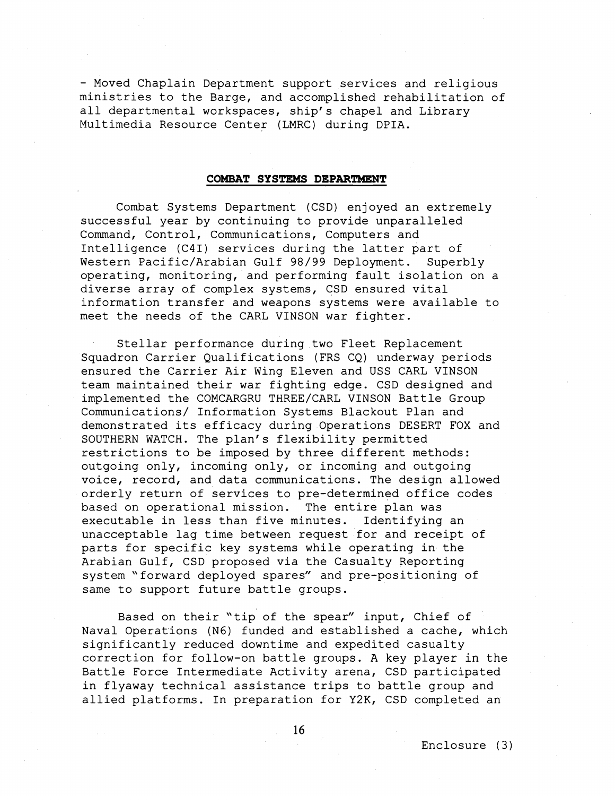- Moved Chaplain Department support services and religious ministries to the Barge, and accomplished rehabilitation of all departmental workspaces, ship's chapel and Library Multimedia Resource Center (LMRC) during DPIA.

## **COMBAT SYSTEMS DEPARTMENT**

Combat Systems Department (CSD) enjoyed an extremely successful year by continuing to provide unparalleled Command, Control, Communications, Computers and Intelligence (C4I) services during the latter part of Western Pacific/Arabian Gulf 98/99 Deployment. Superbly operating, monitoring, and performing fault isolation on a diverse array of complex systems, CSD ensured vital information transfer and weapons systems were available to meet the needs of the CARL VINSON war fighter.

Stellar performance during two Fleet Replacement Squadron Carrier Qualifications (FRS CQ) underway periods ensured the Carrier Air Wing Eleven and USS CARL VINSON team maintained their war fighting edge. CSD designed and implemented the COMCARGRU THREE/CARL VINSON Battle Group Communications/ Information Systems Blackout Plan and demonstrated its efficacy during Operations DESERT FOX and SOUTHERN WATCH. The plan's flexibility permitted restrictions to be imposed by three different methods: outgoing only, incoming only, or incoming and outgoing voice, record, and data communications. The design allowed orderly return of services to pre-determined office codes based on operational mission. The entire plan was executable in less than five minutes. Identifying an unacceptable lag time between request for and receipt of parts for specific key systems while operating in the Arabian Gulf, CSD proposed via the Casualty Reporting system "forward deployed spares" and pre-positioning of same to support future battle groups.

Based on their "tip of the spear" input, Chief of Naval Operations (N6) funded and established a cache, which significantly reduced downtime and expedited casualty correction for follow-on battle groups. A key player in the Battle Force Intermediate Activity arena, CSD participated in flyaway technical assistance trips to battle group and allied platforms. In preparation for **Y2K,** CSD completed an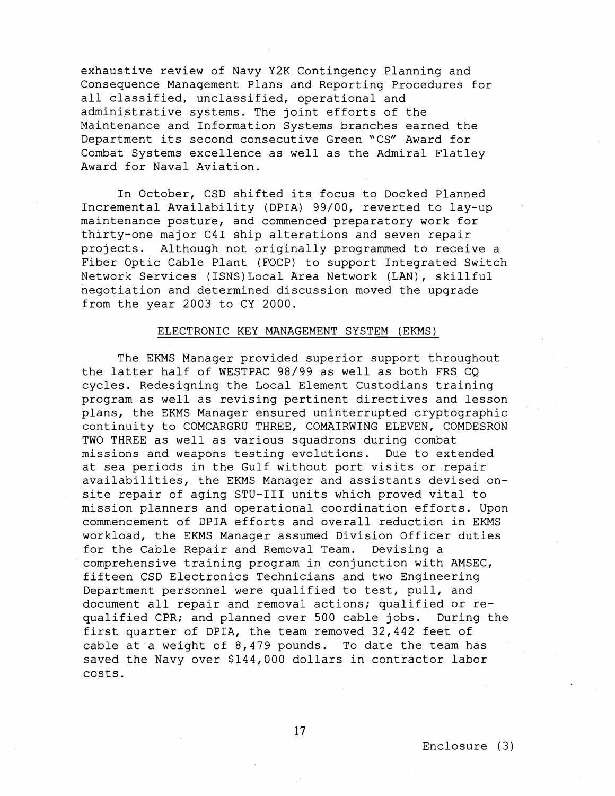exhaustive review of Navy Y2K Contingency Planning and Consequence Management Plans and Reporting Procedures for all classified, unclassified, operational and administrative systems. The joint efforts of the Maintenance and Information Systems branches earned the Department its second consecutive Green "CS" Award for Combat Systems excellence as well as the Admiral Flatley Award for Naval Aviation.

In October, CSD shifted its focus to Docked Planned Incremental Availability (DPIA) 99/00, reverted to lay-up maintenance posture, and commenced preparatory work for thirty-one major C41 ship alterations and seven repair projects. Although not originally programmed to receive a Fiber Optic Cable Plant (FOCP) to support Integrated Switch Network Services (1SNS)Local Area Network (LAN), skillful negotiation and determined discussion moved the upgrade from the year 2003 to CY 2000.

### ELECTRONIC KEY MANAGEMENT SYSTEM (EKMS)

The EKMS Manager provided superior support throughout the latter half of WESTPAC 98/99 as well as both FRS CQ cycles. Redesigning the Local Element Custodians training program as well as revising pertinent directives and lesson plans, the EKMS Manager ensured uninterrupted cryptographic continuity to COMCARGRU THREE, COMAIRWING ELEVEN, COMDESRON TWO THREE as well as various squadrons during combat missions and weapons testing evolutions. Due to extended at sea periods in the Gulf without port visits or repair availabilities, the EKMS Manager and assistants devised onsite repair of aging STU-I11 units which proved vital to mission planners and operational coordination efforts. Upon commencement of DPIA efforts and overall reduction in EKMS workload, the EKMS Manager assumed Division Officer duties for the Cable Repair and Removal Team. Devising a comprehensive training program in conjunction with AMSEC, fifteen CSD Electronics Technicians and two Engineering Department personnel were qualified to test, pull, and document all repair and removal actions; qualified or requalified CPR; and planned over 500 cable jobs. During the first quarter of DPIA, the team removed 32,442 feet of cable at a weight of  $8,479$  pounds. To date the team has saved the Navy over \$144,000 dollars in contractor labor costs.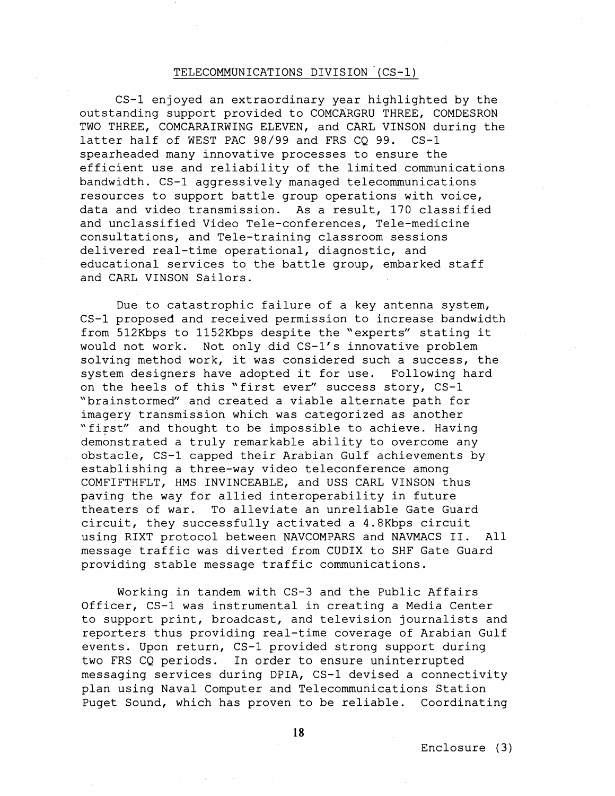# TELECOMMUNICATIONS DIVISION ' (CS-1)

CS-1 enjoyed an extraordinary year highlighted by the outstanding support provided to COMCARGRU THREE, COMDESRON TWO THREE, COMCARAIRWING ELEVEN, and CARL VINSON during the latter half of WEST PAC 98/99 and FRS CQ 99. CS-1 spearheaded many innovative processes to ensure the efficient use and reliability of the limited communications bandwidth. CS-1 aggressively managed telecommunications resources to support battle group operations with voice, data and video transmission. As a result, 170 classified and unclassified Video Tele-conferences, Tele-medicine consultations, and Tele-training classroom sessions delivered real-time operational, diagnostic, and educational services to the battle group, embarked staff and CARL VINSON Sailors.

Due to catastrophic failure of a key antenna system, CS-1 proposed and received permission to increase bandwidth from 512Kbps to 1152Kbps despite the "experts" stating it would not work. Not only did CS-1's innovative problem solving method work, it was considered such a success, the system designers have adopted it for use. Following hard on the heels of this 'first ever" success story, CS-1 "brainstormed" and created a viable alternate path for imagery transmission which was categorized as another "first" and thought to be impossible to achieve. Having demonstrated a truly remarkable ability to overcome any obstacle, CS-1 capped their Arabian Gulf achievements by establishing a three-way video teleconference among COMFIFTHFLT, HMS INVINCEABLE, and USS CARL VINSON thus paving the way for allied interoperability in future theaters of war. To alleviate an unreliable Gate Guard circuit, they successfully activated a 4.8Kbps circuit using RIXT protocol between NAVCOMPARS and NAVMACS 11. All message traffic was diverted from CUDIX to SHF Gate Guard providing stable message traffic communications.

Working in tandem with CS-3 and the Public Affairs Officer, CS-1 was instrumental in creating a Media Center to support print, broadcast, and television journalists and reporters thus providing real-time coverage of Arabian Gulf events. Upon return, CS-1 provided strong support during two FRS CQ periods. In order to ensure uninterrupted messaging services during DPIA, CS-1 devised a connectivity plan using Naval Computer and Telecommunications Station Puget Sound, which has proven to be reliable. Coordinating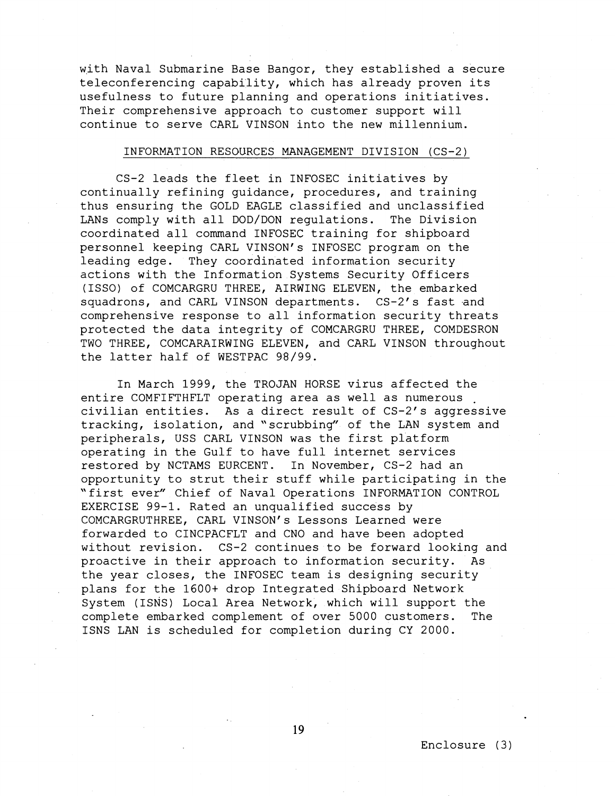with Naval Submarine Base Bangor, they established a secure teleconferencing capability, which has already proven its usefulness to future planning and operations initiatives. Their comprehensive approach to customer support will continue to serve CARL VINSON into the new millennium.

## INFORMATION RESOURCES MANAGEMENT DIVISION (CS-2 )

CS-2 leads the fleet in INFOSEC initiatives by continually refining guidance, procedures, and training thus ensuring the GOLD EAGLE classified and unclassified LANs comply with all DOD/DON regulations. The Division coordinated all command INFOSEC training for shipboard personnel keeping CARL VINSON's INFOSEC program on the leading edge. They coordinated information security actions with the Information Systems Security Officers (ISSO) of COMCARGRU THREE, AIRWING ELEVEN, the embarked squadrons, and CARL VINSON departments. CS-2's fast and comprehensive response to all information security threats protected the data integrity of COMCARGRU THREE, COMDESRON TWO THREE, COMCARAIRWING ELEVEN, and CARL VINSON throughout the latter half of WESTPAC 98/99.

In March 1999, the TROJAN HORSE virus affected the entire COMFIFTHFLT operating area as well as numerous . civilian entities. As a direct result of CS-2's aggressive tracking, isolation, and "scrubbing" of the LAN system and peripherals, USS CARL VINSON was the first platform operating in the Gulf to have full internet services restored by NCTAMS EURCENT. In November, CS-2 had an opportunity to strut their stuff while participating in the "first ever" Chief of Naval Operations INFORMATION CONTROL EXERCISE 99-1. Rated an unqualified success by COMCARGRUTHREE, CARL VINSON's Lessons Learned were forwarded to CINCPACFLT and CNO and have been adopted without revision. CS-2 continues to be forward looking and proactive in their approach to information security. As the year closes, the INFOSEC team is designing security plans for the 1600+ drop Integrated Shipboard Network System (ISNS) Local Area Network, which will support the complete embarked complement of over 5000 customers. The ISNS LAN is scheduled for completion during CY 2000.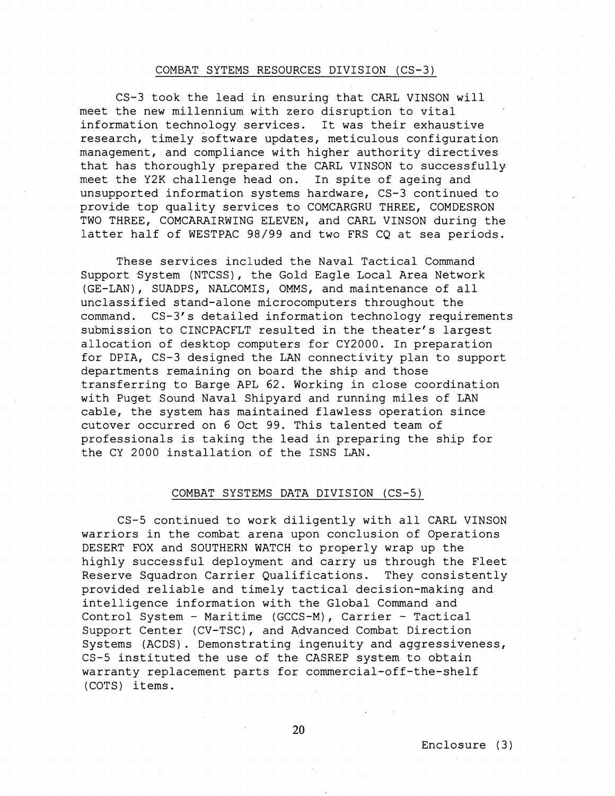### COMBAT SYTEMS RESOURCES DIVISION (CS-3)

CS-3 took the lead in ensuring that CARL VINSON will meet the new millennium with zero disruption to vital information technology services. It was their exhaustive research, timely software updates, meticulous configuration management, and compliance with higher authority directives that has thoroughly prepared the CARL VINSON to successfully meet the **Y2K** challenge head on. In spite of ageing and unsupported information systems hardware, CS-3 continued to provide top quality services to COMCARGRU THREE, COMDESRON TWO THREE, COMCARAIRWING ELEVEN, and CARL VINSON during the latter half of WESTPAC 98/99 and two FRS CQ at sea periods.

These services included the Naval Tactical Command Support System (NTCSS), the Gold Eagle Local Area Network (GE-LAN), SUADPS, NALCOMIS, OMMS, and maintenance of all unclassified stand-alone microcomputers throughout the command. CS-3's detailed information technology requirements submission to CINCPACFLT resulted in the theater's largest allocation of desktop computers for CY2000. In preparation for DPIA, CS-3 designed the LAN connectivity plan to support departments remaining on board the ship and those transferring to Barge APL **62.** Working in close coordination with Puget Sound Naval Shipyard and running miles of LAN cable, the system has maintained flawless operation since cutover occurred on **6** Oct 99. This talented team of professionals is taking the lead in preparing the ship for the CY 2000 installation of the ISNS LAN.

#### COMBAT SYSTEMS DATA DIVISION (CS-5)

CS-5 continued to work diligently with all CARL VINSON warriors in the combat arena upon conclusion of Operations DESERT FOX and SOUTHERN WATCH to properly wrap up the highly successful deployment and carry us through the Fleet Reserve Squadron Carrier Qualifications. They consistently provided reliable and timely tactical decision-making and intelligence information with the Global Command and Control System - Maritime (GCCS-M), Carrier - Tactical Support Center (CV-TSC), and Advanced Combat Direction Systems (ACDS). Demonstrating ingenuity and aggressiveness, CS-5 instituted the use of the CASREP system to obtain warranty replacement parts for commercial-off-the-shelf (COTS) items.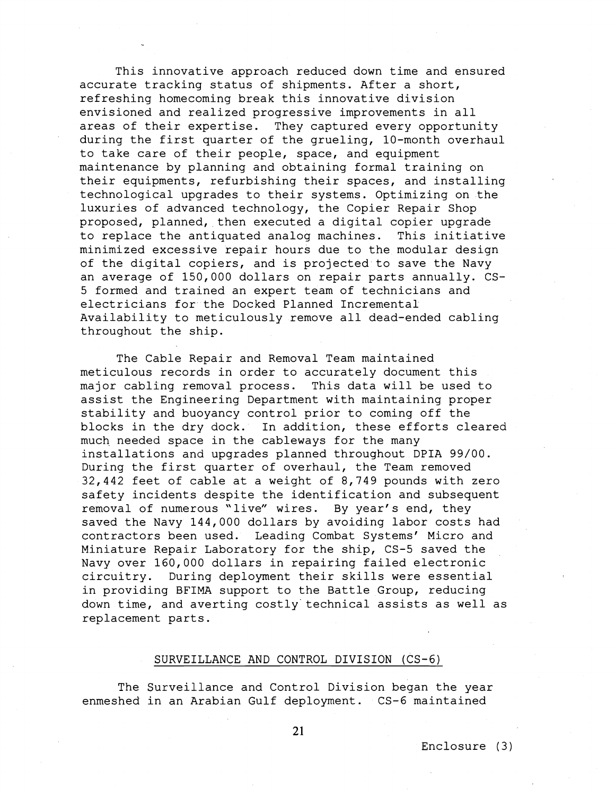This innovative approach reduced down time and ensured accurate tracking status of shipments. After a short, refreshing homecoming break this innovative division envisioned and realized progressive improvements in all areas of their expertise. They captured every opportunity during the first quarter of the grueling, 10-month overhaul to take care of their people, space, and equipment maintenance by planning and obtaining formal training on their equipments, refurbishing their spaces, and installing technological upgrades to their systems. Optimizing on the luxuries of advanced technology, the Copier Repair Shop proposed, planned, then executed a digital copier upgrade to replace the antiquated analog machines. This initiative minimized excessive repair hours due to the modular design of the digital copiers, and is projected to save the Navy an average of 150,000 dollars on repair parts annually. CS-5 formed and trained an expert team of technicians and electricians for the Docked Planned Incremental Availability to meticulously remove all dead-ended cabling throughout the ship.

The Cable Repair and Removal Team maintained meticulous records in order to accurately document this major cabling removal process. This data will be used to assist the Engineering Department with maintaining proper stability and buoyancy control prior to coming off the blocks in the dry dock. In addition, these efforts cleared much needed space in the cableways for the many installations and upgrades planned throughout DPIA 99/00. During the first quarter of overhaul, the Team removed 32,442 feet of cable at a weight of 8,749 pounds with zero safety incidents despite the identification and subsequent removal of numerous "live" wires. By year's end, they saved the Navy 144,000 dollars by avoiding labor costs had contractors been used. Leading Combat Systems' Micro and Miniature Repair Laboratory for the ship, CS-5 saved the Navy over 160,000 dollars in repairing failed electronic circuitry. During deployment their skills were essential in providing BFIMA support to the Battle Group, reducing down time, and averting costly technical assists as well as replacement parts.

## SURVEILLANCE AND CONTROL DIVISION (CS-6)

The Surveillance and Control Division began the year enmeshed in an Arabian Gulf deployment. CS-6 maintained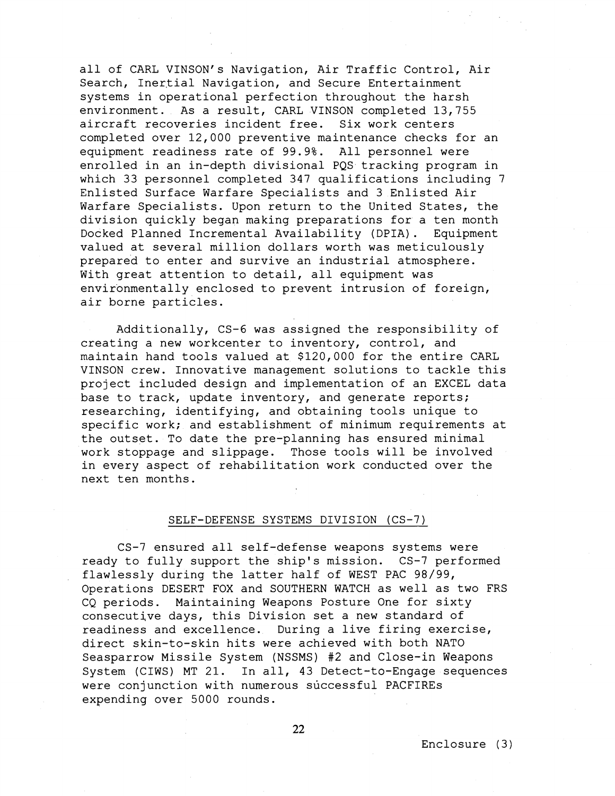all of CARL VINSON's Navigation, Air Traffic Control, Air Search, Inertial Navigation, and Secure Entertainment systems in operational perfection throughout the harsh environment. As a result, CARL VINSON completed 13,755 aircraft recoveries incident free. Six work centers completed over 12,000 preventive maintenance checks for an equipment readiness rate of 99.9%. All personnel were enrolled in an in-depth divisional PQS tracking program in which 33 personnel completed 347 qualifications including 7 Enlisted Surface Warfare Specialists and 3 Enlisted Air Warfare Specialists. Upon return to the United States, the division quickly began making preparations for a ten month Docked Planned Incremental Availability (DPIA). Equipment valued at several million dollars worth was meticulously prepared to enter and survive an industrial atmosphere. With great attention to detail, all equipment was environmentally enclosed to prevent intrusion of foreign, air borne particles.

Additionally, CS-6 was assigned the responsibility of creating a new workcenter to inventory, control, and maintain hand tools valued at \$120,000 for the entire CARL VINSON crew. Innovative management solutions to tackle this project included design and implementation of an EXCEL data base to track, update inventory, and generate reports; researching, identifying, and obtaining tools unique to specific work; and establishment of minimum requirements at the outset. To date the pre-planning has ensured minimal work stoppage and slippage. Those tools will be involved in every aspect of rehabilitation work conducted over the next ten months.

## SELF-DEFENSE SYSTEMS DIVISION (CS-7)

CS-7 ensured all self-defense weapons systems were ready to fully support the ship's mission. CS-7 performed flawlessly during the latter half of WEST PAC 98/99, Operations DESERT FOX and SOUTHERN WATCH as well as two FRS CQ periods. Maintaining Weapons Posture One for sixty consecutive days, this Division set a new standard of readiness and excellence. During a live firing exercise, direct skin-to-skin hits were achieved with both NATO Seasparrow Missile System (NSSMS) #2 and Close-in Weapons System (CIWS) MT 21. In all, 43 Detect-to-Engage sequences were conjunction with numerous successful PACFIREs expending over 5000 rounds.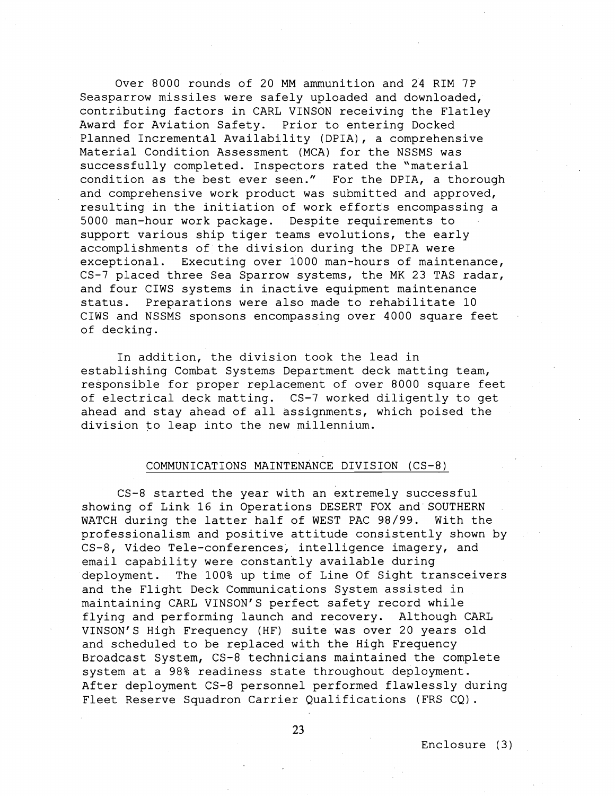Over 8000 rounds of 20 MM ammunition and 24 RIM 7P Seasparrow missiles were safely uploaded and downloaded, contributing factors in CARL VINSON receiving the Flatley Award for Aviation Safety. Prior to entering Docked Planned Incremental Availability (DPIA), a comprehensive Material Condition Assessment (MCA) for the NSSMS was successfully completed. Inspectors rated the "material condition as the best ever seen." For the DPIA, a thorough and comprehensive work product was submitted and approved, resulting in the initiation of work efforts encompassing a 5000 man-hour work package. Despite requirements to support various ship tiger teams evolutions, the early accomplishments of the division during the DPIA were exceptional. Executing over 1000 man-hours of maintenance, CS-7 placed three Sea Sparrow systems, the MK 23 TAS radar, and four CIWS systems in inactive equipment maintenance status. Preparations were also made to rehabilitate 10 CIWS and NSSMS sponsons encompassing over 4000 square feet of decking.

In addition, the division took the lead in establishing Combat Systems Department deck matting team, responsible for proper replacement of over 8000 square feet of electrical deck matting. CS-7 worked diligently to get ahead and stay ahead of all assignments, which poised the division to leap into the new millennium.

## COMMUNICATIONS MAINTENANCE DIVISION (CS-81

CS-8 started the year with an extremely successful showing of Link 16 in Operations DESERT FOX and SOUTHERN WATCH during the latter half of WEST PAC 98/99. With the professionalism and positive attitude consistently shown by CS-8, Video Tele-conferences, intelligence imagery, and email capability were constantly available during deployment. The 100% up time of Line Of Sight transceivers and the Flight Deck Communications System assisted in maintaining CARL VINSON'S perfect safety record while flying and performing launch and recovery. Although CARL VINSON'S High Frequency (HE) suite was over 20 years old and scheduled to be replaced with the High Frequency Broadcast System, CS-8 technicians maintained the complete system at a 98% readiness state throughout deployment. After deployment CS-8 personnel performed flawlessly during Fleet Reserve Squadron Carrier Qualifications (FRS CQ).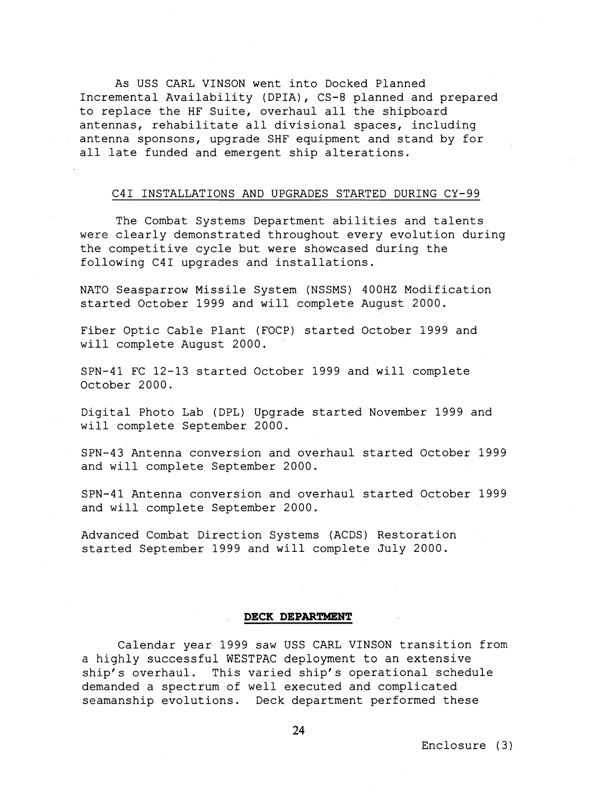As USS CARL VINSON went into Docked Planned Incremental Availability (DPIA), CS-8 planned and prepared to replace the HF Suite, overhaul all the shipboard antennas, rehabilitate all divisional spaces, including antenna sponsons, upgrade SHF equipment and stand by for all late funded and emergent ship alterations.

## C41 INSTALLATIONS AND UPGRADES STARTED DURING CY-99

The Combat Systems Department abilities and talents were clearly demonstrated throughout every evolution during the competitive cycle but were showcased during the following C41 upgrades and installations.

NATO Seasparrow Missile System (NSSMS) 400HZ Modification started October 1999 and will complete August 2000.

Fiber Optic Cable Plant (FOCP) started October 1999 and will complete August 2000.

SPN-41 FC 12-13 started October 1999 and will complete October 2000.

Digital Photo Lab (DPL) Upgrade started November 1999 and will complete September 2000.

SPN-43 Antenna conversion and overhaul started October 1999 and will complete September 2000.

SPN-41 Antenna conversion and overhaul started October 1999 and will complete September 2000.

Advanced Combat Direction Systems (ACDS) Restoration started September 1999 and will complete July 2000.

#### **DECK DEPARTMENT**

Calendar year 1999 saw USS CARL VINSON transition from a highly successful WESTPAC deployment to an extensive ship's overhaul. This varied ship's operational schedule demanded a spectrum of well executed and complicated seamanship evolutions. Deck department performed these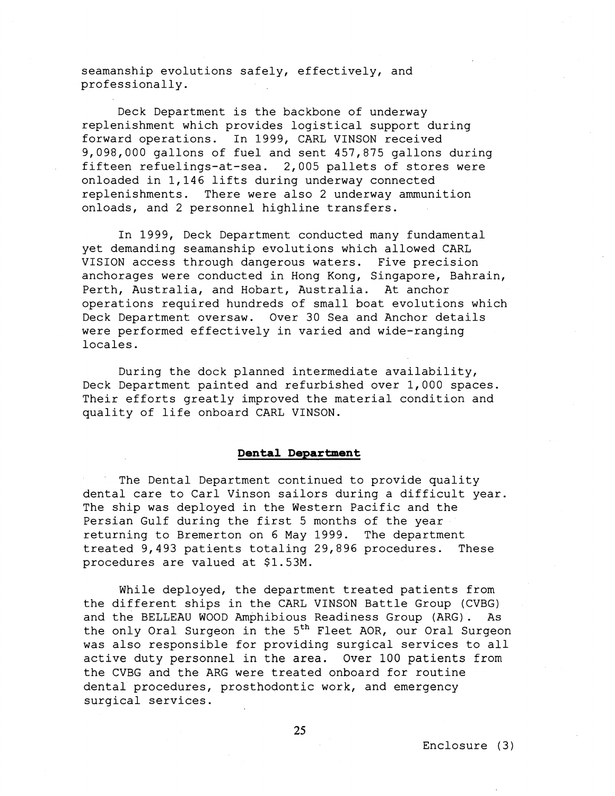seamanship evolutions safely, effectively, and professionally.

Deck Department is the backbone of underway replenishment which provides logistical support during forward operations. In 1999, CARL VINSON received 9,098,000 gallons of fuel and sent 457,875 gallons during fifteen refuelings-at-sea. 2,005 pallets of stores were onloaded in 1,146 lifts during underway connected replenishments. There were also 2 underway ammunition onloads, and 2 personnel highline transfers.

In 1999, Deck Department conducted many fundamental yet demanding seamanship evolutions which allowed CARL VISION access through dangerous waters. Five precision anchorages were conducted in Hong Kong, Singapore, Bahrain, Perth, Australia, and Hobart, Australia. At anchor operations required hundreds of small boat evolutions which Deck Department oversaw. Over 30 Sea and Anchor details were performed effectively in varied and wide-ranging locales.

During the dock planned intermediate availability, Deck Department painted and refurbished over 1,000 spaces. Their efforts greatly improved the material condition and quality of life onboard CARL VINSON.

## **Dental Department**

The Dental Department continued to provide quality dental care to Carl Vinson sailors during a difficult year. The ship was deployed in the Western Pacific and the Persian Gulf during the first 5 months of the year returning to Bremerton on 6 May 1999. The department treated 9,493 patients totaling 29,896 procedures. These procedures are valued at \$1.53M.

While deployed, the department treated patients from the different ships in the CARL VINSON Battle Group (CVBG) and the BELLEAU WOOD Amphibious Readiness Group (ARG). As the only Oral Surgeon in the  $5<sup>th</sup>$  Fleet AOR, our Oral Surgeon was also responsible for providing surgical services to all active duty personnel in the area. Over 100 patients from the CVBG and the ARG were treated onboard for routine dental procedures, prosthodontic work, and emergency surgical services.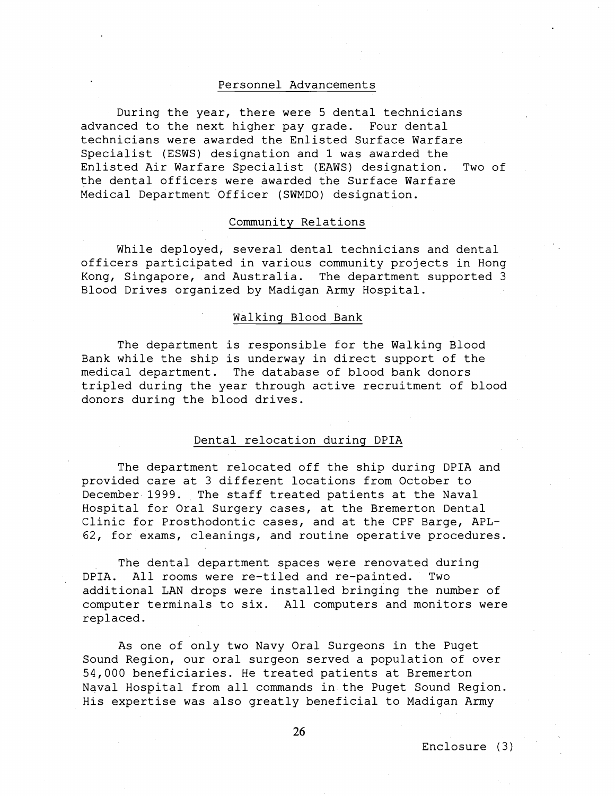### Personnel Advancements

During the year, there were 5 dental technicians advanced to the next higher pay grade. Four dental technicians were awarded the Enlisted Surface Warfare Specialist (ESWS) designation and 1 was awarded the Enlisted Air Warfare Specialist (EAWS) designation. Two of the dental officers were awarded the Surface Warfare Medical Department Officer (SWMDO) designation.

# Community Relations

While deployed, several dental technicians and dental officers participated in various community projects in Hong Kong, Singapore, and Australia. The department supported 3 Blood Drives organized by Madigan Army Hospital.

## Walking Blood Bank

The department is responsible for the Walking Blood Bank while the ship is underway in direct support of the medical department. The database of blood bank donors tripled during the year through active recruitment of blood donors during the blood drives.

## Dental relocation during DPIA

The department relocated off the ship during DPIA and provided care at 3 different locations from October to December 1999. The staff treated patients at the Naval Hospital for Oral Surgery cases, at the Bremerton Dental Clinic for Prosthodontic cases, and at the CPF Barge, APL-62, for exams, cleanings, and routine operative procedures.

The dental department spaces were renovated during DPIA. All rooms were re-tiled and re-painted. Two additional LAN drops were installed bringing the number of computer terminals to six. All computers and monitors were replaced.

As one of only two Navy Oral Surgeons in the Puget Sound Region, our oral surgeon served a population of over 54,000 beneficiaries. He treated patients at Bremerton Naval Hospital from all commands in the Puget Sound Region. His expertise was also greatly beneficial to Madigan Army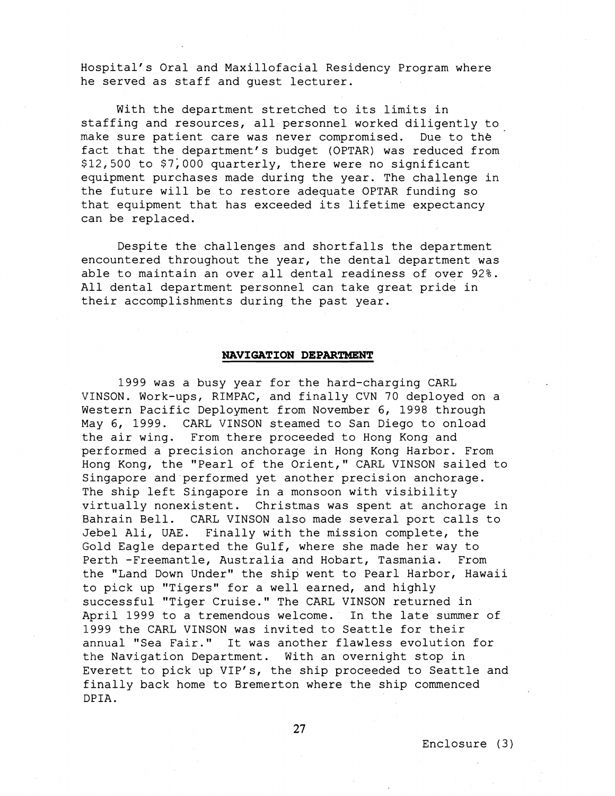Hospital's Oral and Maxillofacial Residency Program where he served as staff and guest lecturer.

With the department stretched to its limits in staffing and resources, all personnel worked diligently to make sure patient care was never compromised. Due to the fact that the department's budget (OPTAR) was reduced from \$12,500 to \$7;000 quarterly, there were no significant equipment purchases made during the year. The challenge in the future will be to restore adequate OPTAR funding so that equipment that has exceeded its lifetime expectancy can be replaced.

Despite the challenges and shortfalls the department encountered throughout the year, the dental department was able to maintain an over all dental readiness of over 92%. All dental department personnel can take great pride in their accomplishments during the past year.

### **NAVIGATION DEPARTMENT**

1999 was a busy year for the hard-charging CARL VINSON. Work-ups, RIMPAC, and finally CVN 70 deployed on a Western Pacific Deployment from November 6, 1998 through May 6, 1999. CARL VINSON steamed to San Diego to onload the air wing. From there proceeded to Hong Kong and performed a precision anchorage in Hong Kong Harbor. From Hong Kong, the "Pearl of the Orient," CARL VINSON sailed to Singapore and performed yet another precision anchorage. The ship left Singapore in a monsoon with visibility virtually nonexistent. Christmas was spent at anchorage in Bahrain Bell. CARL VINSON also made several port calls to Jebel Ali, UAE. Finally with the mission complete, the Gold Eagle departed the Gulf, where she made her way to Perth -Freemantle, Australia and Hobart, Tasmania. From the "Land Down Under" the ship went to Pearl Harbor, Hawaii to pick up "Tigers" for a well earned, and highly successful "Tiger Cruise." The CARL VINSON returned in April 1999 to a tremendous welcome. In the late summer of 1999 the CARL VINSON was invited to Seattle for their annual "Sea Fair." It was another flawless evolution for the Navigation Department. With an overnight stop in Everett to pick up VIP's, the ship proceeded to Seattle and finally back home to Bremerton where the ship commenced DPIA.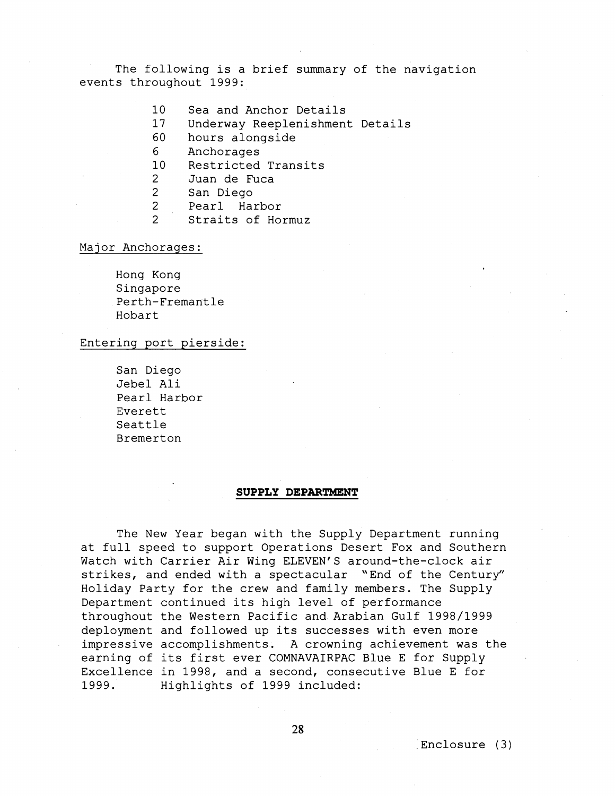The following is a brief summary of the navigation events throughout 1999:

- $10<sup>1</sup>$ Sea and Anchor Details
- $17$ Underway Reeplenishment Details
- 60 hours alongside
- 6 Anchorages
- $10<sup>°</sup>$ Restricted Transits
- $\overline{2}$ Juan de Fuca
- $2<sup>1</sup>$ San Diego
- $2<sup>1</sup>$ Pearl Harbor
- $\mathcal{L}$ Straits of Hormuz

### Major Anchorages:

Hong Kong Singapore Perth-Fremantle Hobart

## Entering port pierside:

San Diego Jebel Ali Pearl Harbor Everett Seattle Bremerton

## **SUPPLY DEPARTMENT**

The New Year began with the Supply Department running at full speed to support Operations Desert Fox and Southern Watch with Carrier Air Wing ELEVEN'S around-the-clock air strikes, and ended with a spectacular "End of the Century" Holiday Party for the crew and family members. The Supply Department continued its high level of performance throughout the Western Pacific and Arabian Gulf 1998/1999 deployment and followed up its successes with even more impressive accomplishments. A crowning achievement was the earning of its first ever COMNAVAIRPAC Blue E for Supply Excellence in 1998, and a second, consecutive Blue E for 1999. Highlights of 1999 included: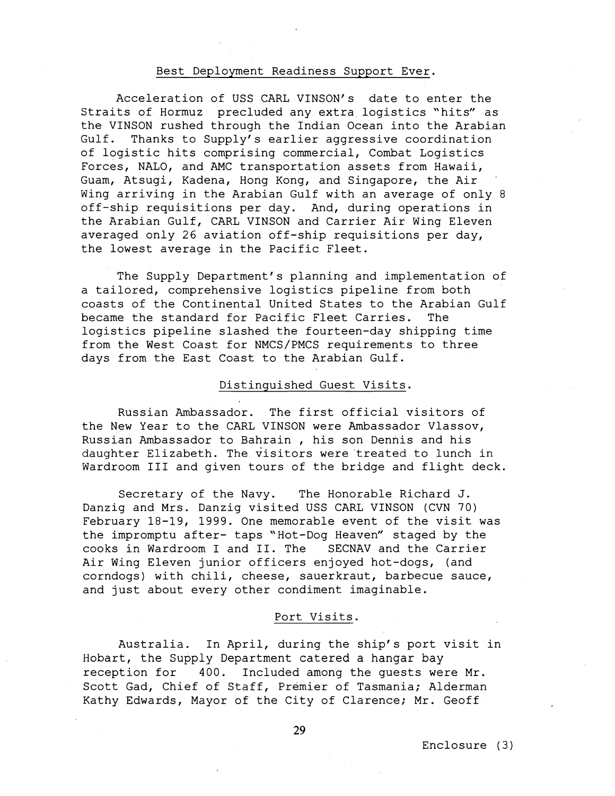### Best Deployment Readiness Support Ever.

Acceleration of USS CARL VINSON's date to enter the Straits of Hormuz precluded any extra logistics "hits" as the VINSON rushed through the Indian Ocean into the Arabian Gulf. Thanks to Supply's earlier aggressive coordination of logistic hits comprising commercial, Combat Logistics Forces, NALO, and AMC transportation assets from Hawaii, Guam, Atsugi, Kadena, Hong Kong, and Singapore, the Air . Wing arriving in the Arabian Gulf with an average of only 8 off-ship requisitions per day. And, during operations in the Arabian Gulf, CARL VINSON and Carrier Air Wing Eleven averaged only 26 aviation off-ship requisitions per day, the lowest average in the Pacific Fleet.

The Supply Department's planning and implementation of a tailored, comprehensive logistics pipeline from both coasts of the Continental United States to the Arabian Gulf became the standard for Pacific Fleet Carries. The logistics pipeline slashed the fourteen-day shipping time from the West Coast for NMCS/PMCS requirements to three days from the East Coast to the Arabian Gulf.

## Distinguished Guest Visits.

Russian Ambassador. The first official visitors of the New Year to the CARL VINSON were Ambassador Vlassov, Russian Ambassador to Bahrain , his son Dennis and his daughter Elizabeth. The visitors were treated to lunch in Wardroom I11 and given tours of the bridge and flight deck.

Secretary of the Navy. The Honorable Richard J. Danzig and Mrs. Danzig visited USS CARL VINSON (CVN 70) February 18-19, 1999. One memorable event of the visit was the impromptu after- taps "Hot-Dog Heaven" staged by the cooks in Wardroom I and 11. The SECNAV and the Carrier Air Wing Eleven junior officers enjoyed hot-dogs, (and corndogs) with chili, cheese, sauerkraut, barbecue sauce, and just about every other condiment imaginable.

## Port Visits.

Australia. In April, during the ship's port visit in Hobart, the Supply Department catered a hangar bay reception for 400. Included among the guests were Mr. Scott Gad, Chief of Staff, Premier of Tasmania; Alderman Kathy Edwards, Mayor of the City of Clarence; Mr. Geoff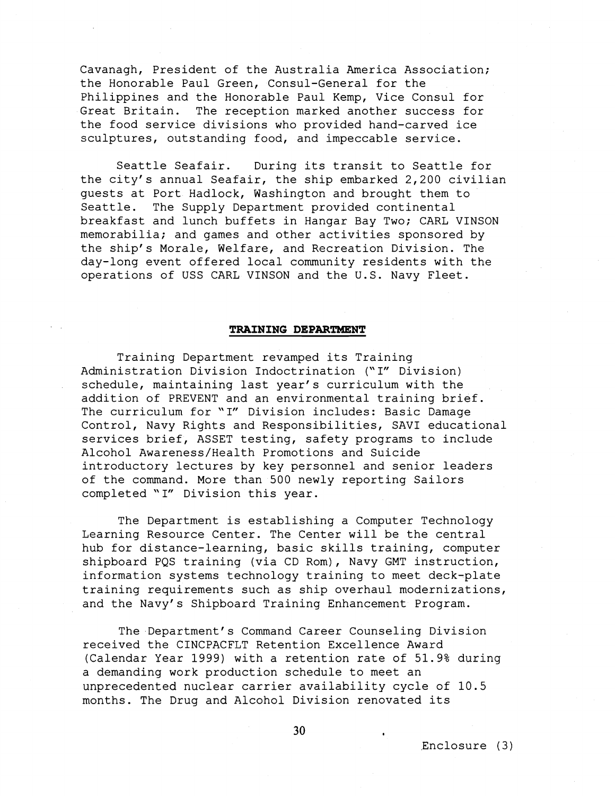Cavanagh, President of the Australia America Association; the Honorable Paul Green, Consul-General for the Philippines and the Honorable Paul Kemp, Vice Consul for<br>Great Britain. The reception marked another success for The reception marked another success for the food service divisions who provided hand-carved ice sculptures, outstanding food, and impeccable service.

Seattle Seafair. During its transit to Seattle for the city's annual Seafair, the ship embarked 2,200 civilian guests at Port Hadlock, Washington and brought them to Seattle. The Supply Department provided continental breakfast and lunch buffets in Hangar Bay Two; CARL VINSON memorabilia; and games and other activities sponsored by the ship's Morale, Welfare, and Recreation Division. The day-long event offered local community residents with the operations of USS CARL VINSON and the U.S. Navy Fleet.

#### **TRAINING DEPARTMENT**

Training Department revamped its Training Administration Division Indoctrination ("I" Division) schedule, maintaining last year's curriculum with the addition of PREVENT and an environmental training brief. The curriculum for "I" Division includes: Basic Damage Control, Navy Rights and Responsibilities, SAVI educational services brief, ASSET testing, safety programs to include Alcohol Awareness/Health Promotions and Suicide introductory lectures by key personnel and senior leaders of the command. More than 500 newly reporting Sailors completed "I" Division this year.

The Department is establishing a Computer Technology Learning Resource Center. The Center will be the central hub for distance-learning, basic skills training, computer shipboard PQS training (via CD Rom), Navy GMT instruction, information systems technology training to meet deck-plate training requirements such as ship overhaul modernizations, and the Navy's Shipboard Training Enhancement Program.

The Department's Command Career Counseling Division received the CINCPACFLT Retention Excellence Award (Calendar Year 1999) with a retention rate of 51.9% during a demanding work production schedule to meet an unprecedented nuclear carrier availability cycle of 10.5 months. The Drug and Alcohol Division renovated its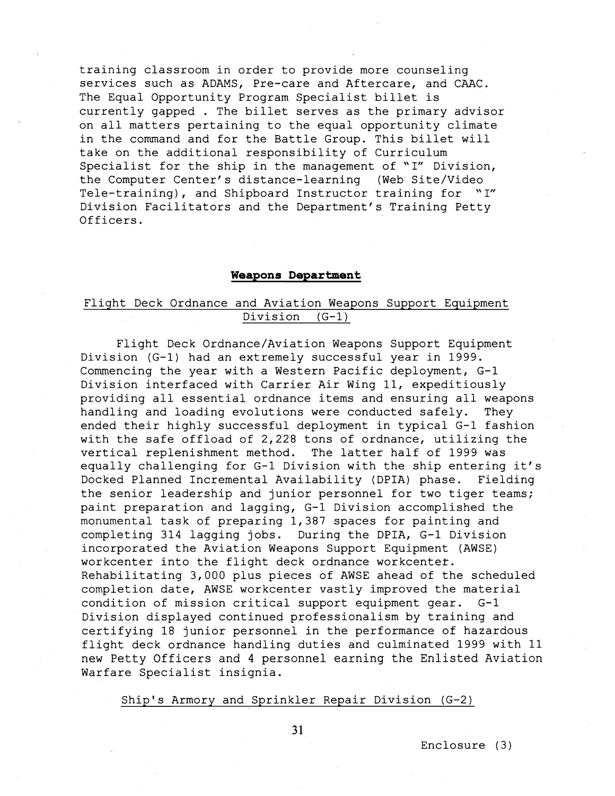training classroom in order to provide more counseling services such as ADAMS, Pre-care and Aftercare, and CAAC. The Equal Opportunity Program Specialist billet is currently gapped . The billet serves as the primary advisor on all matters pertaining to the equal opportunity climate in the command and for the Battle Group. This billet will take on the additional responsibility of Curriculum Specialist for the ship in the management of "I" Division, the Computer Center's distance-learning (Web Site/Video Tele-training), and Shipboard Instructor training for "I" Division Facilitators and the Department's Training Petty Officers .

## **Weapons Department**

# Flight Deck Ordnance and Aviation Weapons Support Equipment Division (G-1)

Flight Deck Ordnance/Aviation Weapons Support Equipment Division (G-1) had an extremely successful year in 1999. Commencing the year with a Western Pacific deployment, G-1 Division interfaced with Carrier Air Wing 11, expeditiously providing all essential ordnance items and ensuring all weapons handling and loading evolutions were conducted safely. They ended their highly successful deployment in typical G-1 fashion with the safe offload of 2,228 tons of ordnance, utilizing the vertical replenishment method. The latter half of 1999 was equally challenging for G-1 Division with the ship entering it's Docked Planned Incremental Availability (DPIA) phase. Fielding the senior leadership and junior personnel for two tiger teams; paint preparation and lagging, G-1 Division accomplished the monumental task of preparing 1,387 spaces for painting and completing 314 lagging jobs. During the DPIA, G-1 Division incorporated the Aviation Weapons Support Equipment (AWSE) workcenter into the flight deck ordnance workcenter. Rehabilitating 3,000 plus pieces of AWSE ahead of the scheduled completion date, AWSE workcenter vastly improved the material condition of mission critical support equipment gear. G-1 Division displayed continued professionalism by training and certifying 18 junior personnel in the performance of hazardous flight deck ordnance handling duties and culminated 1999 with 11 new Petty Officers and 4 personnel earning the Enlisted Aviation Warfare Specialist insignia.

# Ship's Armory and Sprinkler Repair Division (G-2)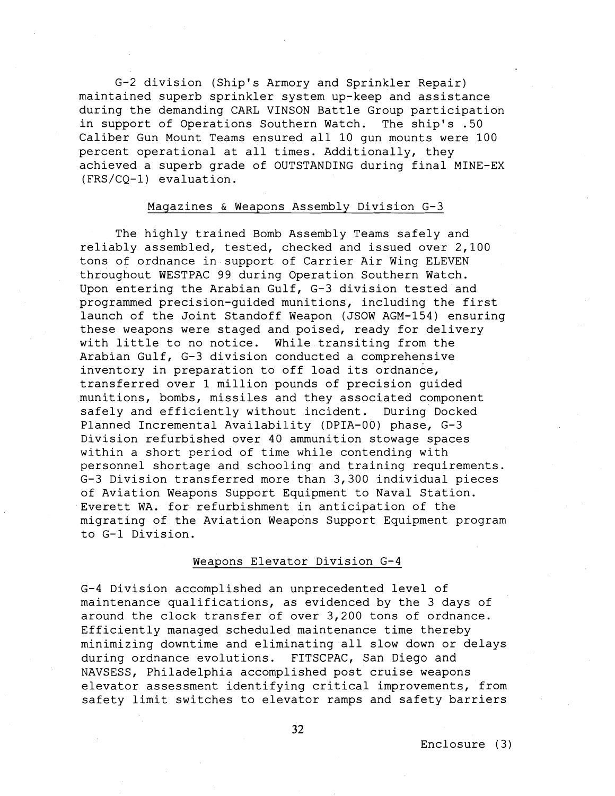G-2 division (Ship's Armory and Sprinkler Repair) maintained superb sprinkler system up-keep and assistance during the demanding CARL VINSON Battle Group participation in support of Operations Southern Watch. The ship's .50 Caliber Gun Mount Teams ensured all 10 gun mounts were 100 percent operational at all times. Additionally, they achieved a superb grade of OUTSTANDING during final MINE-EX (FRS/CQ-1) evaluation.

# Magazines & Weapons Assembly Division G-3

The highly trained Bomb Assembly Teams safely and reliably assembled, tested, checked and issued over 2,100 tons of ordnance in support of Carrier Air Wing ELEVEN throughout WESTPAC 99 during Operation Southern Watch. Upon entering the Arabian Gulf, G-3 division tested and programmed precision-guided munitions, including the first launch of the Joint Standoff Weapon (JSOW AGM-154) ensuring these weapons were staged and poised, ready for delivery with little to no notice. While transiting from the Arabian Gulf, G-3 division conducted a comprehensive inventory in preparation to off load its ordnance, transferred over 1 million pounds of precision guided munitions, bombs, missiles and they associated component safely and efficiently without incident. During Docked Planned Incremental Availability (DPIA-00) phase, G-3 Division refurbished over 40 ammunition stowage spaces within a short period of time while contending with personnel shortage and schooling and training requirements. G-3 Division transferred more than 3,300 individual pieces of Aviation Weapons Support Equipment to Naval Station. Everett WA. for refurbishment in anticipation of the migrating of the Aviation Weapons Support Equipment program to G-1 Division.

## Weapons Elevator Division G-4

G-4 Division accomplished an unprecedented level of maintenance qualifications, as evidenced by the 3 days of around the clock transfer of over 3,200 tons of ordnance. Efficiently managed scheduled maintenance time thereby minimizing downtime and eliminating all slow down or delays during ordnance evolutions. FITSCPAC, San Diego and NAVSESS, Philadelphia accomplished post cruise weapons elevator assessment identifying critical improvements, from safety limit switches to elevator ramps and safety barriers